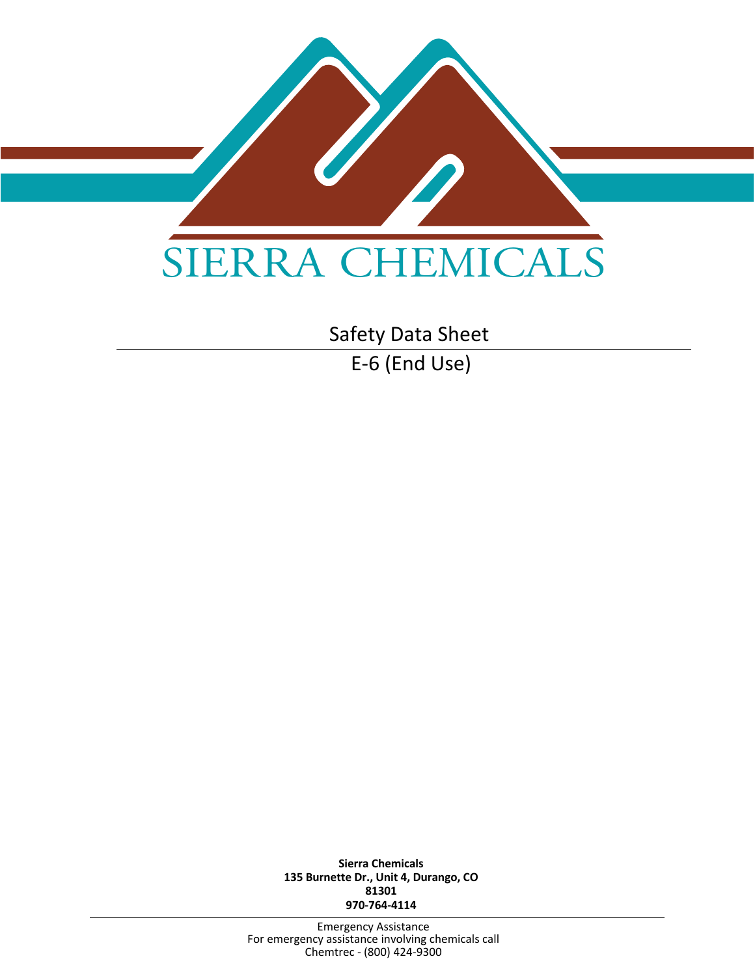

Safety Data Sheet

E-6 (End Use)

**Sierra Chemicals 135 Burnette Dr., Unit 4, Durango, CO 81301 970-764-4114**

Emergency Assistance For emergency assistance involving chemicals call Chemtrec - (800) 424-9300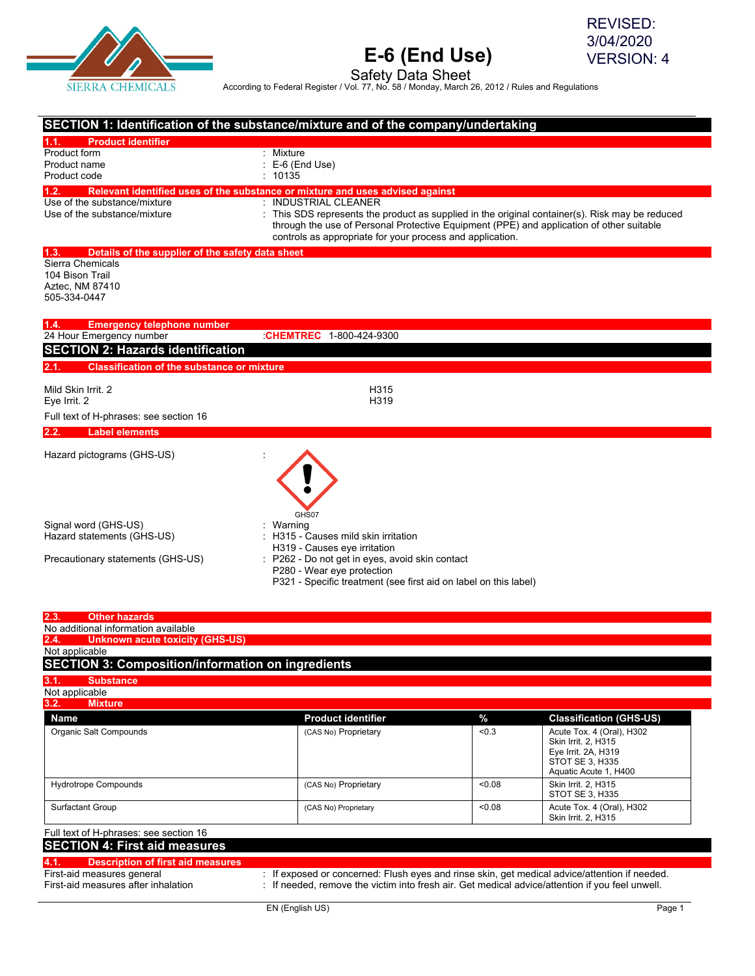

REVISED: 3/04/2020 VERSION: 4

Safety Data Sheet<br>According to Federal Register / Vol. 77, No. 58 / Monday, March 26, 2012 / Rules and Regulations

| SECTION 1: Identification of the substance/mixture and of the company/undertaking |                                                                                               |       |                                          |
|-----------------------------------------------------------------------------------|-----------------------------------------------------------------------------------------------|-------|------------------------------------------|
| 1.1.<br><b>Product identifier</b>                                                 |                                                                                               |       |                                          |
| Product form                                                                      | : Mixture                                                                                     |       |                                          |
| Product name                                                                      | E-6 (End Use)                                                                                 |       |                                          |
| Product code                                                                      | 10135                                                                                         |       |                                          |
| 1.2.                                                                              | Relevant identified uses of the substance or mixture and uses advised against                 |       |                                          |
| Use of the substance/mixture                                                      | : INDUSTRIAL CLEANER                                                                          |       |                                          |
| Use of the substance/mixture                                                      | This SDS represents the product as supplied in the original container(s). Risk may be reduced |       |                                          |
|                                                                                   | through the use of Personal Protective Equipment (PPE) and application of other suitable      |       |                                          |
|                                                                                   | controls as appropriate for your process and application.                                     |       |                                          |
| 1.3.<br>Details of the supplier of the safety data sheet                          |                                                                                               |       |                                          |
| Sierra Chemicals                                                                  |                                                                                               |       |                                          |
| 104 Bison Trail                                                                   |                                                                                               |       |                                          |
| Aztec, NM 87410                                                                   |                                                                                               |       |                                          |
| 505-334-0447                                                                      |                                                                                               |       |                                          |
| 1.4.<br><b>Emergency telephone number</b>                                         |                                                                                               |       |                                          |
| 24 Hour Emergency number                                                          | CHEMTREC 1-800-424-9300                                                                       |       |                                          |
| <b>SECTION 2: Hazards identification</b>                                          |                                                                                               |       |                                          |
|                                                                                   |                                                                                               |       |                                          |
| <b>Classification of the substance or mixture</b><br>2.1.                         |                                                                                               |       |                                          |
| Mild Skin Irrit. 2                                                                | H315                                                                                          |       |                                          |
| Eye Irrit. 2                                                                      | H319                                                                                          |       |                                          |
| Full text of H-phrases: see section 16                                            |                                                                                               |       |                                          |
| <b>Label elements</b><br>2.2.                                                     |                                                                                               |       |                                          |
|                                                                                   |                                                                                               |       |                                          |
| Hazard pictograms (GHS-US)                                                        |                                                                                               |       |                                          |
| Signal word (GHS-US)                                                              | GHS07<br>Warning                                                                              |       |                                          |
| Hazard statements (GHS-US)                                                        | H315 - Causes mild skin irritation                                                            |       |                                          |
|                                                                                   | H319 - Causes eye irritation                                                                  |       |                                          |
| Precautionary statements (GHS-US)                                                 | P262 - Do not get in eyes, avoid skin contact                                                 |       |                                          |
|                                                                                   | P280 - Wear eye protection                                                                    |       |                                          |
|                                                                                   | P321 - Specific treatment (see first aid on label on this label)                              |       |                                          |
|                                                                                   |                                                                                               |       |                                          |
| <b>Other hazards</b><br>2.3.                                                      |                                                                                               |       |                                          |
| No additional information available                                               |                                                                                               |       |                                          |
| 2.4.<br><b>Unknown acute toxicity (GHS-US)</b>                                    |                                                                                               |       |                                          |
| Not applicable                                                                    |                                                                                               |       |                                          |
| <b>SECTION 3: Composition/information on ingredients</b>                          |                                                                                               |       |                                          |
| 3.1.<br><b>Substance</b>                                                          |                                                                                               |       |                                          |
|                                                                                   |                                                                                               |       |                                          |
|                                                                                   |                                                                                               |       |                                          |
| <b>Mixture</b>                                                                    |                                                                                               |       |                                          |
| Not applicable<br>3.2.<br><b>Name</b>                                             | <b>Product identifier</b>                                                                     | $\%$  | <b>Classification (GHS-US)</b>           |
| Organic Salt Compounds                                                            | (CAS No) Proprietary                                                                          | < 0.3 | Acute Tox. 4 (Oral), H302                |
|                                                                                   |                                                                                               |       | Skin Irrit. 2, H315                      |
|                                                                                   |                                                                                               |       | Eye Irrit. 2A, H319                      |
|                                                                                   |                                                                                               |       | STOT SE 3, H335<br>Aquatic Acute 1, H400 |

### Full text of H-phrases: see section 16 **SECTION 4: First aid measures**

### **4.1. Description of first aid measures** First-aid measures general : If exposed or concerned: Flush eyes and rinse skin, get medical advice/attention if needed.<br>First-aid measures after inhalation : If needed, remove the victim into fresh air. Get medical advice

: If needed, remove the victim into fresh air. Get medical advice/attention if you feel unwell.

Surfactant Group (CAS No) Proprietary (CAS No) Proprietary (CAS Noting the COD of the COD of the COD of the CO<br>Skin Irrit. 2, H315

STOT SE 3, H335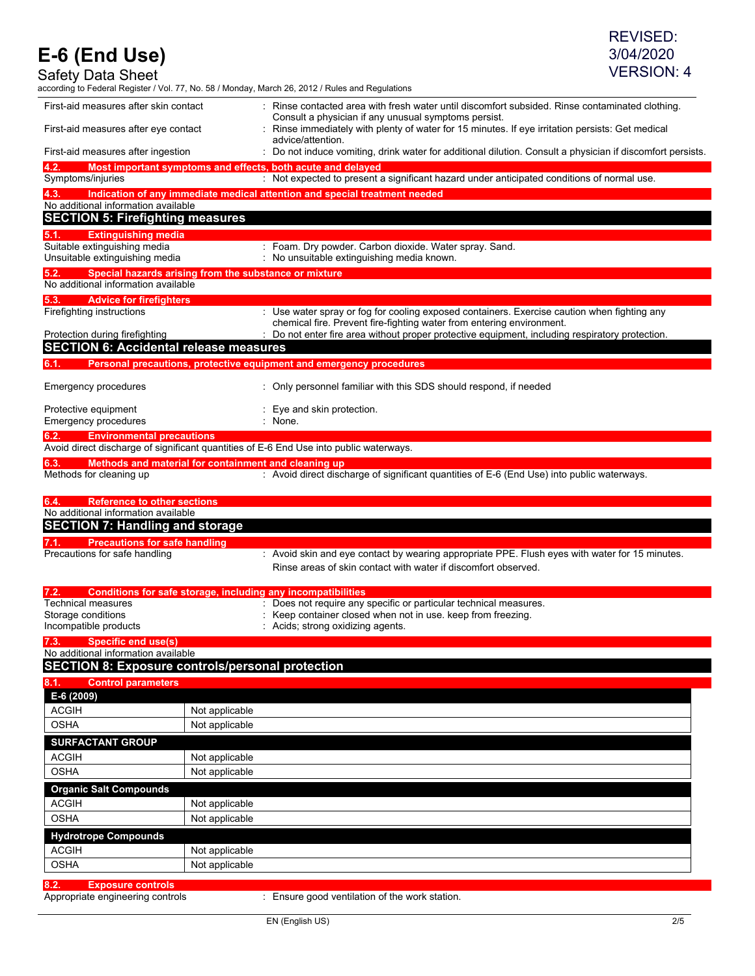| $\sim$ $\sim$ $\sim$<br>Safety Data Sheet                      |                                                              | <b>VERSION: 4</b><br>according to Federal Register / Vol. 77, No. 58 / Monday, March 26, 2012 / Rules and Regulations                                                |
|----------------------------------------------------------------|--------------------------------------------------------------|----------------------------------------------------------------------------------------------------------------------------------------------------------------------|
| First-aid measures after skin contact                          |                                                              | : Rinse contacted area with fresh water until discomfort subsided. Rinse contaminated clothing.                                                                      |
| First-aid measures after eye contact                           |                                                              | Consult a physician if any unusual symptoms persist.<br>: Rinse immediately with plenty of water for 15 minutes. If eye irritation persists: Get medical             |
|                                                                |                                                              | advice/attention.                                                                                                                                                    |
| First-aid measures after ingestion<br>4.2.                     |                                                              | : Do not induce vomiting, drink water for additional dilution. Consult a physician if discomfort persists.                                                           |
| Symptoms/injuries                                              | Most important symptoms and effects, both acute and delayed  | : Not expected to present a significant hazard under anticipated conditions of normal use.                                                                           |
| 4.3.                                                           |                                                              | Indication of any immediate medical attention and special treatment needed                                                                                           |
| No additional information available                            |                                                              |                                                                                                                                                                      |
|                                                                | <b>SECTION 5: Firefighting measures</b>                      |                                                                                                                                                                      |
| <b>Extinguishing media</b><br>5.1.                             |                                                              |                                                                                                                                                                      |
| Suitable extinguishing media<br>Unsuitable extinguishing media |                                                              | : Foam. Dry powder. Carbon dioxide. Water spray. Sand.<br>: No unsuitable extinguishing media known.                                                                 |
| 5.2.<br>No additional information available                    | Special hazards arising from the substance or mixture        |                                                                                                                                                                      |
| 5.3.<br><b>Advice for firefighters</b>                         |                                                              |                                                                                                                                                                      |
| Firefighting instructions                                      |                                                              | : Use water spray or fog for cooling exposed containers. Exercise caution when fighting any<br>chemical fire. Prevent fire-fighting water from entering environment. |
| Protection during firefighting                                 |                                                              | : Do not enter fire area without proper protective equipment, including respiratory protection.                                                                      |
|                                                                | <b>SECTION 6: Accidental release measures</b>                |                                                                                                                                                                      |
| 6.1.                                                           |                                                              | Personal precautions, protective equipment and emergency procedures                                                                                                  |
| Emergency procedures                                           |                                                              | : Only personnel familiar with this SDS should respond, if needed                                                                                                    |
| Protective equipment<br>Emergency procedures                   |                                                              | $:$ Eye and skin protection.<br>: None.                                                                                                                              |
| 6.2.                                                           | <b>Environmental precautions</b>                             |                                                                                                                                                                      |
|                                                                |                                                              | Avoid direct discharge of significant quantities of E-6 End Use into public waterways.                                                                               |
| 6.3.<br>Methods for cleaning up                                | Methods and material for containment and cleaning up         | : Avoid direct discharge of significant quantities of E-6 (End Use) into public waterways.                                                                           |
| 6.4.                                                           | <b>Reference to other sections</b>                           |                                                                                                                                                                      |
| No additional information available                            |                                                              |                                                                                                                                                                      |
|                                                                | <b>SECTION 7: Handling and storage</b>                       |                                                                                                                                                                      |
|                                                                | <b>Precautions for safe handling</b>                         |                                                                                                                                                                      |
| Precautions for safe handling                                  |                                                              | : Avoid skin and eye contact by wearing appropriate PPE. Flush eyes with water for 15 minutes.<br>Rinse areas of skin contact with water if discomfort observed.     |
|                                                                | Conditions for safe storage, including any incompatibilities |                                                                                                                                                                      |
| Technical measures                                             |                                                              | : Does not require any specific or particular technical measures.                                                                                                    |
| Storage conditions<br>Incompatible products                    |                                                              | : Keep container closed when not in use. keep from freezing.<br>: Acids; strong oxidizing agents.                                                                    |
| <b>Specific end use(s)</b><br>7.3.                             |                                                              |                                                                                                                                                                      |
| No additional information available                            |                                                              |                                                                                                                                                                      |
|                                                                | <b>SECTION 8: Exposure controls/personal protection</b>      |                                                                                                                                                                      |
| 8.1.<br><b>Control parameters</b>                              |                                                              |                                                                                                                                                                      |
| E-6 (2009)                                                     |                                                              |                                                                                                                                                                      |
| <b>ACGIH</b>                                                   | Not applicable                                               |                                                                                                                                                                      |
| <b>OSHA</b>                                                    | Not applicable                                               |                                                                                                                                                                      |
| <b>SURFACTANT GROUP</b>                                        |                                                              |                                                                                                                                                                      |
| <b>ACGIH</b>                                                   | Not applicable                                               |                                                                                                                                                                      |
| <b>OSHA</b>                                                    | Not applicable                                               |                                                                                                                                                                      |
| <b>Organic Salt Compounds</b>                                  |                                                              |                                                                                                                                                                      |
| <b>ACGIH</b>                                                   | Not applicable                                               |                                                                                                                                                                      |
| <b>OSHA</b>                                                    | Not applicable                                               |                                                                                                                                                                      |
| <b>Hydrotrope Compounds</b>                                    |                                                              |                                                                                                                                                                      |
| <b>ACGIH</b>                                                   | Not applicable                                               |                                                                                                                                                                      |
| <b>OSHA</b>                                                    | Not applicable                                               |                                                                                                                                                                      |

**8.2. Exposure controls**

: Ensure good ventilation of the work station.

REVISED: 3/04/2020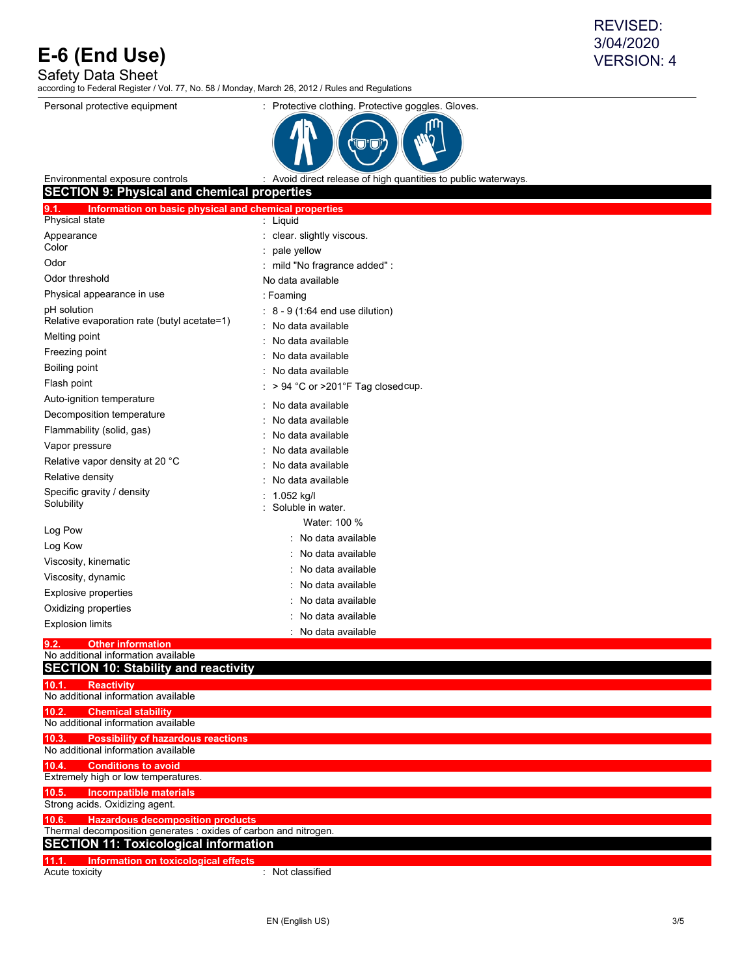Safety Data Sheet

according to Federal Register / Vol. 77, No. 58 / Monday, March 26, 2012 / Rules and Regulations



Environmental exposure controls : Avoid direct release of high quantities to public waterways

| <b>SECTION 9: Physical and chemical properties</b>                                        |                                   |
|-------------------------------------------------------------------------------------------|-----------------------------------|
| 9.1.<br>Information on basic physical and chemical properties                             |                                   |
| Physical state                                                                            | : Liquid                          |
| Appearance                                                                                | : clear. slightly viscous.        |
| Color                                                                                     | pale yellow                       |
| Odor                                                                                      | mild "No fragrance added" :       |
| Odor threshold                                                                            | No data available                 |
| Physical appearance in use                                                                | : Foaming                         |
| pH solution                                                                               | 8 - 9 (1:64 end use dilution)     |
| Relative evaporation rate (butyl acetate=1)                                               | No data available                 |
| Melting point                                                                             | No data available                 |
| Freezing point                                                                            | No data available                 |
| Boiling point                                                                             | No data available                 |
| Flash point                                                                               | > 94 °C or >201°F Tag closed cup. |
| Auto-ignition temperature                                                                 | No data available                 |
| Decomposition temperature                                                                 | No data available                 |
| Flammability (solid, gas)                                                                 | No data available                 |
| Vapor pressure                                                                            | No data available                 |
| Relative vapor density at 20 °C                                                           | No data available                 |
| Relative density                                                                          | No data available                 |
| Specific gravity / density                                                                | 1.052 kg/l                        |
| Solubility                                                                                | Soluble in water.                 |
|                                                                                           | Water: 100 %                      |
| Log Pow                                                                                   | : No data available               |
| Log Kow                                                                                   | No data available                 |
| Viscosity, kinematic                                                                      | No data available                 |
| Viscosity, dynamic                                                                        | No data available                 |
| <b>Explosive properties</b>                                                               | No data available                 |
| Oxidizing properties                                                                      | No data available                 |
| <b>Explosion limits</b>                                                                   | No data available                 |
| 9.2.<br><b>Other information</b>                                                          |                                   |
| No additional information available                                                       |                                   |
| <b>SECTION 10: Stability and reactivity</b>                                               |                                   |
| <b>Reactivity</b><br>10.1.                                                                |                                   |
| No additional information available                                                       |                                   |
| 10.2.<br><b>Chemical stability</b>                                                        |                                   |
| No additional information available                                                       |                                   |
| 10.3.<br><b>Possibility of hazardous reactions</b><br>No additional information available |                                   |
| <b>Conditions to avoid</b><br>10.4.                                                       |                                   |
| Extremely high or low temperatures.                                                       |                                   |
| 10.5.<br><b>Incompatible materials</b>                                                    |                                   |
| Strong acids. Oxidizing agent.                                                            |                                   |
| 10.6.<br><b>Hazardous decomposition products</b>                                          |                                   |
| Thermal decomposition generates : oxides of carbon and nitrogen.                          |                                   |
| <b>SECTION 11: Toxicological information</b>                                              |                                   |
| Information on toxicological effects<br>11.1.                                             |                                   |
| Acute toxicity                                                                            | : Not classified                  |

REVISED: 3/04/2020 VERSION: 4

Personal protective equipment : Protective clothing. Protective goggles. Gloves.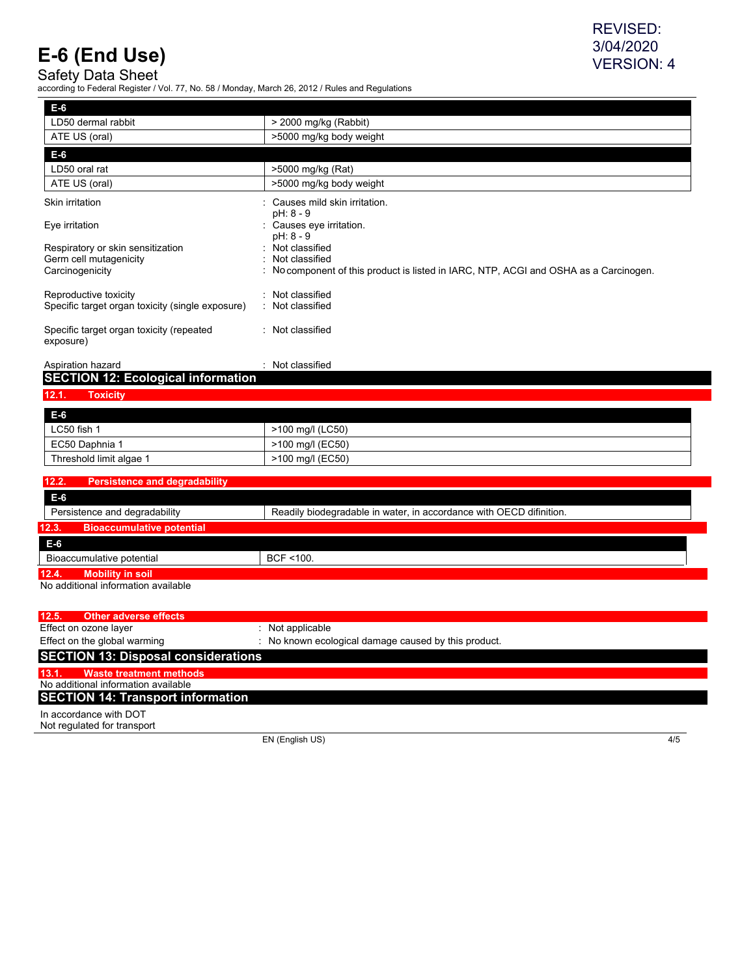Safety Data Sheet

according to Federal Register / Vol. 77, No. 58 / Monday, March 26, 2012 / Rules and Regulations

| E-6                                                   |                                                                                     |
|-------------------------------------------------------|-------------------------------------------------------------------------------------|
| LD50 dermal rabbit                                    | $>$ 2000 mg/kg (Rabbit)                                                             |
| ATE US (oral)                                         | >5000 mg/kg body weight                                                             |
| $E-6$                                                 |                                                                                     |
| LD50 oral rat                                         | >5000 mg/kg (Rat)                                                                   |
| ATE US (oral)                                         | >5000 mg/kg body weight                                                             |
| Skin irritation                                       | Causes mild skin irritation.<br>pH: 8 - 9                                           |
| Eye irritation                                        | Causes eye irritation.<br>pH: 8 - 9                                                 |
| Respiratory or skin sensitization                     | Not classified<br>٠                                                                 |
| Germ cell mutagenicity                                | Not classified<br>٠                                                                 |
| Carcinogenicity                                       | No component of this product is listed in IARC, NTP, ACGI and OSHA as a Carcinogen. |
| Reproductive toxicity                                 | : Not classified                                                                    |
| Specific target organ toxicity (single exposure)      | Not classified                                                                      |
| Specific target organ toxicity (repeated<br>exposure) | : Not classified                                                                    |
| Aspiration hazard                                     | Not classified                                                                      |
| <b>SECTION 12: Ecological information</b>             |                                                                                     |
| 12.1.<br><b>Toxicity</b>                              |                                                                                     |

| E-6                     |                  |
|-------------------------|------------------|
| LC50 fish 1             | >100 mg/l (LC50) |
| EC50 Daphnia 1          | >100 mg/l (EC50) |
| Threshold limit algae 1 | >100 mg/l (EC50) |

| 12.2.<br><b>Persistence and degradability</b>                                                        |               |
|------------------------------------------------------------------------------------------------------|---------------|
| E-6                                                                                                  |               |
| Readily biodegradable in water, in accordance with OECD difinition.<br>Persistence and degradability |               |
| 12.3.<br><b>Bioaccumulative potential</b>                                                            |               |
| E-6                                                                                                  |               |
| Bioaccumulative potential                                                                            | $BCF < 100$ . |
| 12.4.<br><b>Mobility in soil</b>                                                                     |               |

No additional information available

| 12.5. | <b>Other adverse effects</b>               |                                                      |
|-------|--------------------------------------------|------------------------------------------------------|
|       | Effect on ozone layer                      | $:$ Not applicable                                   |
|       | Effect on the global warming               | : No known ecological damage caused by this product. |
|       | <b>SECTION 13: Disposal considerations</b> |                                                      |
| 13.1. | Waste treatment methods                    |                                                      |
|       | No additional information available        |                                                      |
|       | <b>SECTION 14: Transport information</b>   |                                                      |
|       | In accordance with DOT                     |                                                      |

Not regulated for transport

EN (English US) 4/5